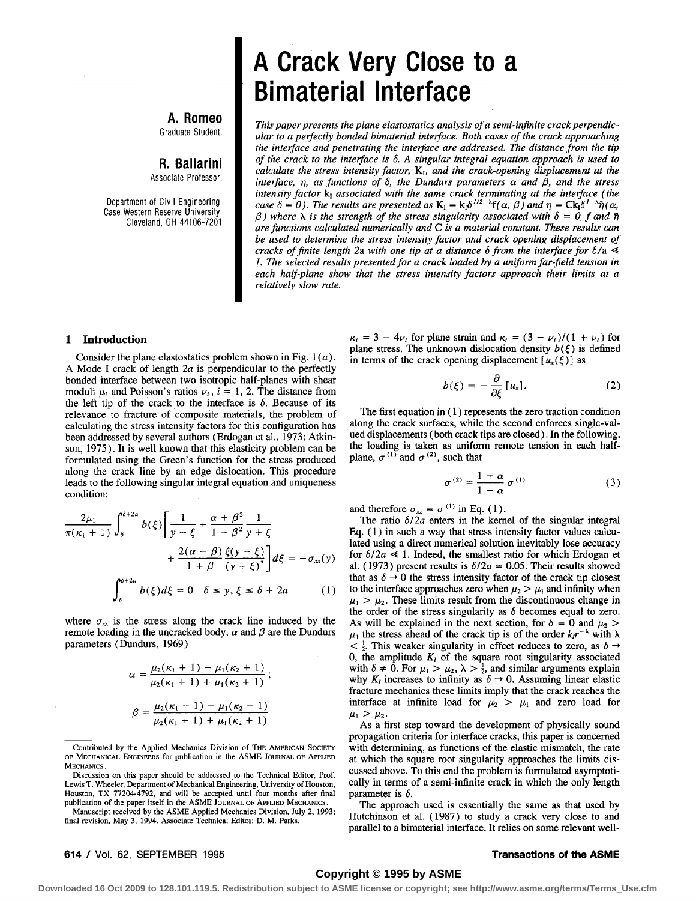**A. Romeo**  Graduate Student.

**R. Ballarini** 

Associate Professor.

Department of Civil Engineering, Case Western Reserve University, Cleveland, OH 44106-7201

# **A Crack Very Close to a Bimaterial Interface**

*This paper presents the plane elastostatics analysis of a semi-infnite crack perpendicular to a perfectly bonded bimaterial interface. Both cases of the crack approaching the interface and penetrating the interface are addressed. The distance from the tip of the crack to the interface is 6. A singular integral equation approach is used to calculate the stress intensity factor, Ki, and the crack-opening displacement at the*  interface,  $\eta$ , as functions of  $\delta$ , the Dundurs parameters  $\alpha$  and  $\beta$ , and the stress intensity factor k<sub>1</sub> associated with the same crack terminating at the interface (the *case 6 = 0). The results are presented as*  $K_I = k_I \delta^{1/2-s} f(\alpha, \beta)$  and  $\eta = C k_I \delta^{1-s} \tilde{\eta}(\alpha, \beta)$  $\beta$ ) where  $\lambda$  is the strength of the stress singularity associated with  $\delta = 0$ , f and  $\tilde{\eta}$ *are functions calculated numerically and C is a material constant. These results can be used to determine the stress intensity factor and crack opening displacement of cracks of finite length 2a with one tip at a distance 6 from the interface for 6/a !. The selected results presented for a crack loaded by a uniform far-field tension in each half-plane show that the stress intensity factors approach their limits at a relatively slow rate.* 

#### 1 **Introduction**

Consider the plane elastostatics problem shown in Fig.  $1(a)$ . A Mode I crack of length *2a* is perpendicular to the perfectly bonded interface between two isotropic half-planes with shear moduli  $\mu_i$  and Poisson's ratios  $\nu_i$ ,  $i = 1, 2$ . The distance from the left tip of the crack to the interface is  $\delta$ . Because of its relevance to fracture of composite materials, the problem of calculating the stress intensity factors for this configuration has been addressed by several authors (Erdogan et al., 1973; Atkinson, 1975). It is well known that this elasticity problem can be formulated using the Green's function for the stress produced along the crack line by an edge dislocation. This procedure leads to the following singular integral equation and uniqueness condition:

$$
\frac{2\mu_1}{\pi(\kappa_1+1)} \int_{\delta}^{\delta+2a} b(\xi) \left[ \frac{1}{y-\xi} + \frac{\alpha+\beta^2}{1-\beta^2} \frac{1}{y+\xi} + \frac{2(\alpha-\beta)}{1+\beta} \frac{\xi(y-\xi)}{(y+\xi)^3} \right] d\xi = -\sigma_{xx}(y)
$$

$$
\int_{\delta}^{\delta+2a} b(\xi) d\xi = 0 \quad \delta \le y, \xi \le \delta + 2a \tag{1}
$$

where  $\sigma_{xx}$  is the stress along the crack line induced by the remote loading in the uncracked body,  $\alpha$  and  $\beta$  are the Dundurs parameters (Dundurs, 1969)

$$
\alpha = \frac{\mu_2(\kappa_1 + 1) - \mu_1(\kappa_2 + 1)}{\mu_2(\kappa_1 + 1) + \mu_1(\kappa_2 + 1)};
$$

$$
\beta = \frac{\mu_2(\kappa_1 - 1) - \mu_1(\kappa_2 - 1)}{\mu_2(\kappa_1 + 1) + \mu_1(\kappa_2 + 1)}
$$

Manuscript received by the ASME Applied Mechanics Division, July 2, 1993; final revision, May 3, 1994. Associate Technical Editor: D. M. Parks.

 $\kappa_i = 3 - 4\nu_i$  for plane strain and  $\kappa_i = (3 - \nu_i)/(1 + \nu_i)$  for plane stress. The unknown dislocation density  $b(\xi)$  is defined in terms of the crack opening displacement  $[u_x(\xi)]$  as

$$
b(\xi) \equiv -\frac{\partial}{\partial \xi} [u_x]. \tag{2}
$$

The first equation in ( 1 ) represents the zero traction condition along the crack surfaces, while the second enforces single-valued displacements (both crack tips are closed). In the following, the loading is taken as uniform remote tension in each halfplane,  $\sigma^{(1)}$  and  $\sigma^{(2)}$ , such that

$$
\sigma^{(2)} = \frac{1+\alpha}{1-\alpha} \sigma^{(1)} \tag{3}
$$

and therefore  $\sigma_{xx} = \sigma^{(1)}$  in Eq. (1).

The ratio  $\delta/2a$  enters in the kernel of the singular integral Eq. (1) in such a way that stress intensity factor values calculated using a direct numerical solution inevitably lose accuracy for  $\delta/2a \ll 1$ . Indeed, the smallest ratio for which Erdogan et al. (1973) present results is  $\delta/2a = 0.05$ . Their results showed that as  $\delta \rightarrow 0$  the stress intensity factor of the crack tip closest to the interface approaches zero when  $\mu_2 > \mu_1$  and infinity when  $\mu_1 > \mu_2$ . These limits result from the discontinuous change in the order of the stress singularity as  $\delta$  becomes equal to zero. As will be explained in the next section, for  $\delta = 0$  and  $\mu_2$  $\mu_1$  the stress ahead of the crack tip is of the order  $k/r^{-\lambda}$  with  $\lambda$  $\langle \frac{1}{2} \rangle$ . This weaker singularity in effect reduces to zero, as  $\delta \rightarrow$ 0, the amplitude  $K_I$  of the square root singularity associated with  $\delta \neq 0$ . For  $\mu_1 > \mu_2$ ,  $\lambda > \frac{1}{2}$ , and similar arguments explain why  $K_t$  increases to infinity as  $\delta \rightarrow 0$ . Assuming linear elastic fracture mechanics these limits imply that the crack reaches the interface at infinite load for  $\mu_2 > \mu_1$  and zero load for  $\mu_1 > \mu_2$ .

As a first step toward the development of physically sound propagation criteria for interface cracks, this paper is concerned with determining, as functions of the elastic mismatch, the rate at which the square root singularity approaches the limits discussed above. To this end the problem is formulated asymptotically in terms of a semi-infinite crack in which the only length parameter is  $\delta$ .

The approach used is essentially the same as that used by Hutchinson et al. (1987) to study a crack very close to and parallel to a bimaterial interface. It relies on some relevant well-

### **Copyright © 1995 by ASME**

**Downloaded 16 Oct 2009 to 128.101.119.5. Redistribution subject to ASME license or copyright; see http://www.asme.org/terms/Terms\_Use.cfm**

Contributed by the Applied Mechanics Division of THE AMERICAN SOCIETY OF MECHANICAL ENGINEERS for publication in the ASME JOURNAL OF APPLIED MECHANICS.

Discussion on this paper should be addressed to the Technical Editor, Prof. Lewis T. Wheeler, Department of Mechanical Engineering, University of Houston, Houston, TX 77204-4792, and will be accepted until four months after final publication of the paper itself in the ASME JOURNAL OF APPLIED MECHANICS.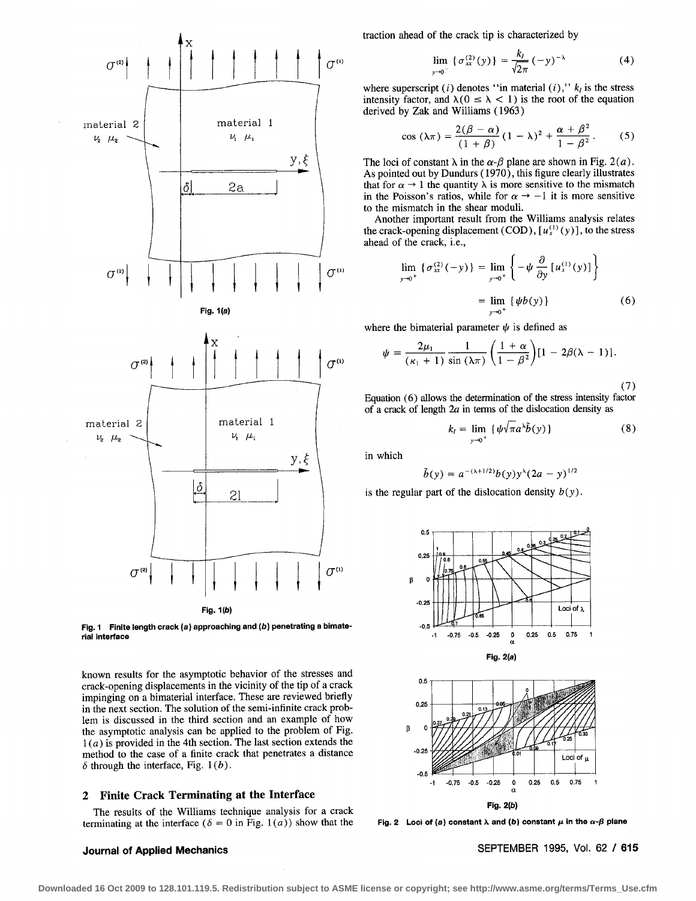

Fig. 1 **Finite length crack (a) approaching and (b) penetrating a bimaterial interface** 

known results for the asymptotic behavior of the stresses and crack-opening displacements in the vicinity of the tip of a crack impinging on a bimaterial interface. These are reviewed briefly in the next section. The solution of the semi-infinite crack problem is discussed in the third section and an example of how the asymptotic analysis can be applied to the problem of Fig.  $1(a)$  is provided in the 4th section. The last section extends the method to the case of a finite crack that penetrates a distance  $\delta$  through the interface, Fig. 1(b).

#### **2 Finite Crack Terminating at the Interface**

The results of the Williams technique analysis for a crack terminating at the interface ( $\delta = 0$  in Fig. 1(*a*)) show that the

traction ahead of the crack tip is characterized by

$$
\lim_{y \to 0^{-}} \{ \sigma_{xx}^{(2)}(y) \} = \frac{k_I}{\sqrt{2\pi}} \, (-y)^{-\lambda} \tag{4}
$$

where superscript  $(i)$  denotes "in material  $(i)$ ,"  $k_i$  is the stress intensity factor, and  $\lambda(0 \le \lambda < 1)$  is the root of the equation derived by Zak and Williams (1963)

$$
\cos\left(\lambda\pi\right)=\frac{2(\beta-\alpha)}{(1+\beta)}\left(1-\lambda\right)^2+\frac{\alpha+\beta^2}{1-\beta^2}.\qquad(5)
$$

The loci of constant  $\lambda$  in the  $\alpha$ - $\beta$  plane are shown in Fig. 2(*a*). As pointed out by Dundurs (1970), this figure clearly illustrates that for  $\alpha \rightarrow 1$  the quantity  $\lambda$  is more sensitive to the mismatch in the Poisson's ratios, while for  $\alpha \rightarrow -1$  it is more sensitive to the mismatch in the shear moduli.

Another important result from the Williams analysis relates the crack-opening displacement (COD),  $[u_x^{(1)}(y)]$ , to the stress ahead of the crack, i.e.,

$$
\lim_{y \to 0^+} {\{\sigma_{xx}^{(2)}(-y)\}} = \lim_{y \to 0^+} {\left\{-\psi \frac{\partial}{\partial y} [u_x^{(1)}(y)]\right\}}
$$
  
= 
$$
\lim_{y \to 0^+} {\{\psi b(y)\}}
$$
 (6)

where the bimaterial parameter  $\psi$  is defined as

$$
\psi = \frac{2\mu_1}{(\kappa_1+1)} \frac{1}{\sin(\lambda \pi)} \left( \frac{1+\alpha}{1-\beta^2} \right) [1 - 2\beta(\lambda - 1)].
$$

(7)

Equation (6) allows the determination of the stress intensity factor of a crack of length  $2a$  in terms of the dislocation density as

$$
k_I = \lim_{y \to 0^+} \{ \psi \sqrt{\pi} a^{\lambda} \tilde{b}(y) \} \tag{8}
$$

in which

$$
\tilde{b}(y) = a^{-(\lambda+1/2)}b(y)y^{\lambda}(2a - y)^{1/2}
$$

is the regular part of the dislocation density  $b(y)$ .





Fig. 2 Loci of (a) constant **λ** and (b) constant  $\mu$  in the  $\alpha$ - $\beta$  plane

**Journal of Applied Mechanics** SEPTEMBER 1995, Vol. 62 / 615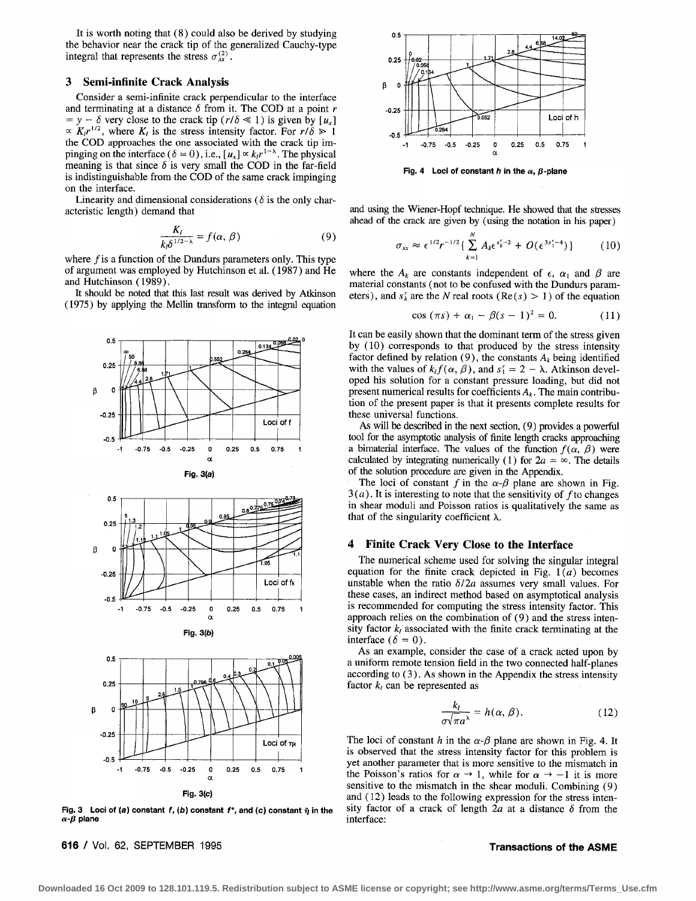It is worth noting that (8) could also be derived by studying the behavior near the crack tip of the generalized Cauchy-type integral that represents the stress  $\sigma_{xx}^{(2)}$ .

#### **3 Semi-infinite Crack Analysis**

Consider a semi-infinite crack perpendicular to the interface and terminating at a distance  $\delta$  from it. The COD at a point r  $y - \delta$  very close to the crack tip  $(r/\delta \ll 1)$  is given by  $[u_x]$  $\propto K_I r^{1/2}$ , where  $K_I$  is the stress intensity factor. For  $r/\delta \ge 1$ the COD approaches the one associated with the crack tip impinging on the interface ( $\delta = 0$ ), i.e.,  $[u_x] \propto k r^{1-\lambda}$ . The physical meaning is that since  $\delta$  is very small the COD in the far-field is indistinguishable from the COD of the same crack impinging on the interface.

Linearity and dimensional considerations ( $\delta$  is the only characteristic length) demand that

$$
\frac{K_I}{k_0\delta^{1/2-\lambda}} = f(\alpha, \beta) \tag{9}
$$

where  $f$  is a function of the Dundurs parameters only. This type of argument was employed by Hutchinson et al. (1987) and He and Hutchinson (1989).

It should be noted that this last result was derived by Atkinson (1975) by applying the Mellin transform to the integral equation









Fig. 3 Loci of (a) constant  $f$ , (b) constant  $f^*$ , and (c) constant  $\tilde{\eta}$  in the  $\alpha$ - $\beta$  plane

**616** / Vol. 62, SEPTEMBER 1995 **Transactions of the** ASME



Fig. 4 Loci of constant h in the  $\alpha$ ,  $\beta$ -plane

and using the Wiener-Hopf technique. He showed that the stresses ahead of the crack are given by (using the notation in his paper)

$$
\sigma_{xx} \approx \epsilon^{1/2} r^{-1/2} \{ \sum_{k=1}^{N} A_k \epsilon^{s_k^r - 2} + O(\epsilon^{3s_1^r - 4}) \}
$$
 (10)

where the  $A_k$  are constants independent of  $\epsilon$ ,  $\alpha_1$  and  $\beta$  are material constants (not to be confused with the Dundurs parameters), and  $s'_k$  are the N real roots (Re(s) > 1) of the equation

$$
\cos (\pi s) + \alpha_1 - \beta (s-1)^2 = 0. \tag{11}
$$

It can be easily shown that the dominant term of the stress given by (10) corresponds to that produced by the stress intensity factor defined by relation (9), the constants  $A_k$  being identified with the values of  $k_l f(\alpha, \beta)$ , and  $s_l = 2 - \lambda$ . Atkinson developed his solution for a constant pressure loading, but did not present numerical results for coefficients  $A_k$ . The main contribution of the present paper is that it presents complete results for these universal functions.

As will be described in the next section, (9) provides a powerful tool for the asymptotic analysis of finite length cracks approaching a bimaterial interface. The values of the function  $f(\alpha, \beta)$  were calculated by integrating numerically (1) for  $2a = \infty$ . The details of the solution procedure are given in the Appendix.

The loci of constant f in the  $\alpha$ - $\beta$  plane are shown in Fig.  $3(a)$ . It is interesting to note that the sensitivity of f to changes in shear moduli and Poisson ratios is qualitatively the same as that of the singularity coefficient  $\lambda$ .

### **4 Finite Crack Very Close to the Interface**

The numerical scheme used for solving the singular integral equation for the finite crack depicted in Fig.  $1(a)$  becomes unstable when the ratio  $\delta/2a$  assumes very small values. For these cases, an indirect method based on asymptotical analysis is recommended for computing the stress intensity factor. This approach relies on the combination of (9) and the stress intensity factor  $k_l$  associated with the finite crack terminating at the interface  $(\delta = 0)$ .

As an example, consider the case of a crack acted upon by a uniform remote tension field in the two connected half-planes according to (3). As shown in the Appendix the stress intensity factor  $k_l$  can be represented as

$$
\frac{k_l}{\sigma\sqrt{\pi a^\lambda}} = h(\alpha, \beta). \tag{12}
$$

The loci of constant h in the  $\alpha$ - $\beta$  plane are shown in Fig. 4. It is observed that the stress intensity factor for this problem is yet another parameter that is more sensitive to the mismatch in the Poisson's ratios for  $\alpha \rightarrow 1$ , while for  $\alpha \rightarrow -1$  it is more sensitive to the mismatch in the shear moduli. Combining (9) and (12) leads to the following expression for the stress intensity factor of a crack of length  $2a$  at a distance  $\delta$  from the interface: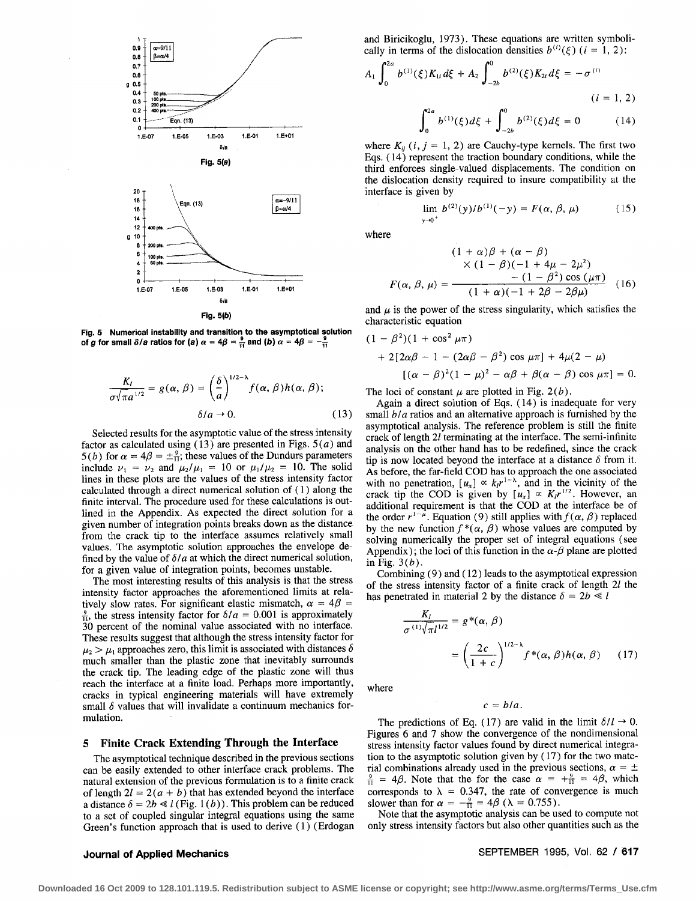

Fig. 5 Numerical instability and transition to the asymptotical solution of g for small  $\delta/a$  ratios for (a)  $\alpha = 4\beta = \frac{9}{11}$  and (b)  $\alpha = 4\beta = -\frac{9}{11}$ 

$$
\frac{K_I}{\sigma\sqrt{\pi}a^{1/2}} = g(\alpha, \beta) = \left(\frac{\delta}{a}\right)^{1/2-\lambda} f(\alpha, \beta)h(\alpha, \beta);
$$
  

$$
\delta/a \to 0.
$$
 (13)

Selected results for the asymptotic value of the stress intensity factor as calculated using (13) are presented in Figs.  $5(a)$  and 5(b) for  $\alpha = 4\beta = \pm \frac{9}{11}$ ; these values of the Dundurs parameters include  $\nu_1 = \nu_2$  and  $\mu_2/\mu_1 = 10$  or  $\mu_1/\mu_2 = 10$ . The solid lines in these plots are the values of the stress intensity factor calculated through a direct numerical solution of (1) along the finite interval. The procedure used for these calculations is outlined in the Appendix. As expected the direct solution for a given number of integration points breaks down as the distance from the crack tip to the interface assumes relatively small values. The asymptotic solution approaches the envelope defined by the value of  $\delta/a$  at which the direct numerical solution, for a given value of integration points, becomes unstable.

The most interesting results of this analysis is that the stress intensity factor approaches the aforementioned limits at relatively slow rates. For significant elastic mismatch,  $\alpha = 4\beta =$  $\frac{9}{11}$ , the stress intensity factor for  $\delta/a = 0.001$  is approximately 30 percent of the nominal value associated with no interface. These results suggest that although the stress intensity factor for  $\mu_2 > \mu_1$  approaches zero, this limit is associated with distances  $\delta$ much smaller than the plastic zone that inevitably surrounds the crack tip. The leading edge of the plastic zone will thus reach the interface at a finite load. Perhaps more importantly, cracks in typical engineering materials will have extremely small  $\delta$  values that will invalidate a continuum mechanics formulation.

#### Finite Crack Extending Through the Interface  $\overline{5}$

The asymptotical technique described in the previous sections can be easily extended to other interface crack problems. The natural extension of the previous formulation is to a finite crack of length  $2l = 2(a + b)$  that has extended beyond the interface a distance  $\delta = 2b \ll l$  (Fig. 1(b)). This problem can be reduced to a set of coupled singular integral equations using the same Green's function approach that is used to derive (1) (Erdogan and Biricikoglu, 1973). These equations are written symbolically in terms of the dislocation densities  $b^{(i)}(\xi)$  ( $i = 1, 2$ ):

$$
A_1 \int_0^{2a} b^{(1)}(\xi) K_{1i} d\xi + A_2 \int_{-2b}^{\infty} b^{(2)}(\xi) K_{2i} d\xi = -\sigma^{(i)}
$$
\n
$$
(i = 1, 2)
$$
\n
$$
\int_0^{2a} b^{(1)}(\xi) d\xi + \int_{-2b}^0 b^{(2)}(\xi) d\xi = 0 \qquad (14)
$$

where  $K_{ii}$  (*i*, *j* = 1, 2) are Cauchy-type kernels. The first two Eqs. (14) represent the traction boundary conditions, while the third enforces single-valued displacements. The condition on the dislocation density required to insure compatibility at the interface is given by

$$
\lim_{y \to 0^+} b^{(2)}(y)/b^{(1)}(-y) = F(\alpha, \beta, \mu) \tag{15}
$$

where

l

$$
(1 + \alpha)\beta + (\alpha - \beta)
$$
  
 
$$
\times (1 - \beta)(-1 + 4\mu - 2\mu^{2})
$$
  

$$
F(\alpha, \beta, \mu) = \frac{- (1 - \beta^{2}) \cos (\mu \pi)}{(1 + \alpha)(-1 + 2\beta - 2\beta\mu)}
$$
 (16)

and  $\mu$  is the power of the stress singularity, which satisfies the characteristic equation

$$
(1 - \beta^2)(1 + \cos^2 \mu \pi)
$$
  
+ 2[2\alpha\beta - 1 - (2\alpha\beta - \beta^2) \cos \mu \pi] + 4\mu(2 - \mu)  
[(\alpha - \beta)^2(1 - \mu)^2 - \alpha\beta + \beta(\alpha - \beta) \cos \mu \pi] = 0.

The loci of constant  $\mu$  are plotted in Fig. 2(b).

Again a direct solution of Eqs. (14) is inadequate for very small  $b/a$  ratios and an alternative approach is furnished by the asymptotical analysis. The reference problem is still the finite crack of length 2l terminating at the interface. The semi-infinite analysis on the other hand has to be redefined, since the crack tip is now located beyond the interface at a distance  $\delta$  from it. As before, the far-field COD has to approach the one associated with no penetration,  $[u_x] \propto k r^{1-\lambda}$ , and in the vicinity of the crack tip the COD is given by  $[u_x] \propto K_I r^{1/2}$ . However, an additional requirement is that the COD at the interface be of the order  $r^{1-\mu}$ . Equation (9) still applies with  $f(\alpha, \beta)$  replaced by the new function  $f^*(\alpha, \beta)$  whose values are computed by solving numerically the proper set of integral equations (see Appendix); the loci of this function in the  $\alpha$ - $\beta$  plane are plotted in Fig.  $3(b)$ .

Combining  $(9)$  and  $(12)$  leads to the asymptotical expression of the stress intensity factor of a finite crack of length 2l the has penetrated in material 2 by the distance  $\delta = 2b \ll l$ 

$$
\frac{K_I}{\sigma^{(1)}\sqrt{\pi}I^{1/2}} = g^*(\alpha, \beta)
$$

$$
= \left(\frac{2c}{1+c}\right)^{1/2-\lambda} f^*(\alpha, \beta)h(\alpha, \beta) \qquad (17)
$$

where

 $c = b/a$ .

The predictions of Eq. (17) are valid in the limit  $\delta/l \rightarrow 0$ . Figures 6 and 7 show the convergence of the nondimensional stress intensity factor values found by direct numerical integration to the asymptotic solution given by (17) for the two material combinations already used in the previous sections,  $\alpha = \pm$  $\frac{9}{11}$  = 4 $\beta$ . Note that the for the case  $\alpha = +\frac{9}{11} = 4\beta$ , which corresponds to  $\lambda = 0.347$ , the rate of convergence is much slower than for  $\alpha = -\frac{9}{11} = 4\beta$  ( $\lambda = 0.755$ ).

Note that the asymptotic analysis can be used to compute not only stress intensity factors but also other quantities such as the

## **Journal of Applied Mechanics**

SEPTEMBER 1995, Vol. 62 / 617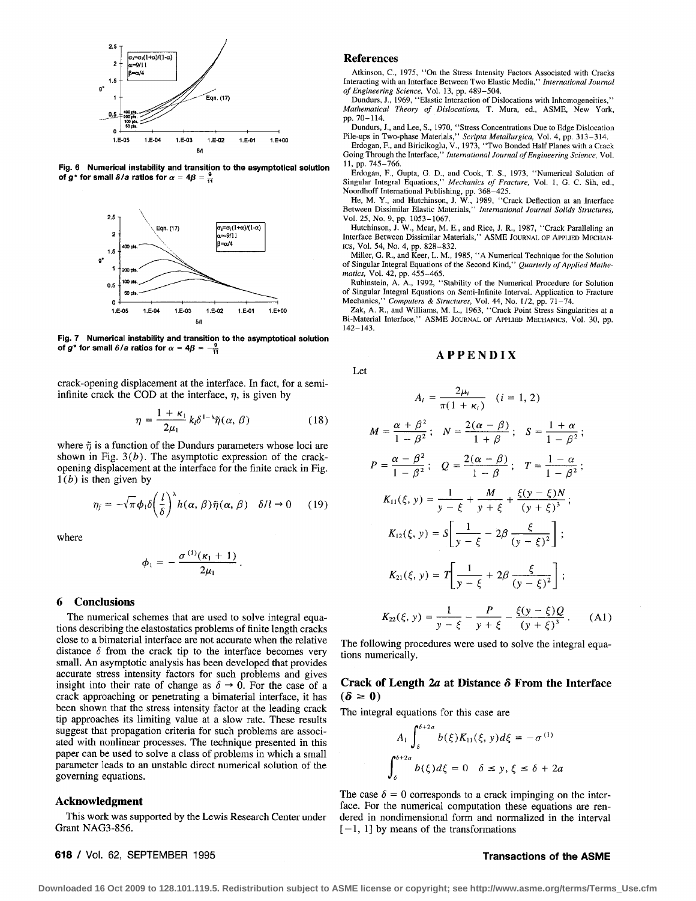

Fig. 6 **Numerical instability and transition to the asymptotical solution**  of  $g^*$  for small  $\delta/a$  ratios for  $\alpha = 4\beta = \frac{9}{11}$ 



Fig, 7 **Numerical instability and transition to the asymptotical solution of g<sup>\*</sup> for small**  $\delta/a$  **ratios for**  $\alpha = 4\beta = -\frac{9}{11}$ 

crack-opening displacement at the interface. In fact, for a semiinfinite crack the COD at the interface,  $\eta$ , is given by

$$
\eta = \frac{1 + \kappa_1}{2\mu_1} k_l \delta^{1 - \lambda} \tilde{\eta}(\alpha, \beta)
$$
 (18)

where  $\tilde{\eta}$  is a function of the Dundurs parameters whose loci are shown in Fig.  $3(b)$ . The asymptotic expression of the crackopening displacement at the interface for the finite crack in Fig.  $1(b)$  is then given by

$$
\eta_f = -\sqrt{\pi} \phi_1 \delta \left( \frac{l}{\delta} \right)^{\lambda} h(\alpha, \beta) \tilde{\eta}(\alpha, \beta) \quad \delta / l \to 0 \quad (19)
$$

where

$$
\phi_1=-\frac{\sigma^{(1)}(\kappa_1+1)}{2\mu_1}.
$$

### **6 Conclusions**

The numerical schemes that are used to solve integral equations describing the elastostatics problems of finite length cracks close to a bimaterial interface are not accurate when the relative distance  $\delta$  from the crack tip to the interface becomes very small. An asymptotic analysis has been developed that provides accurate stress intensity factors for such problems and gives insight into their rate of change as  $\delta \rightarrow 0$ . For the case of a crack approaching or penetrating a bimaterial interface, it has been shown that the stress intensity factor at the leading crack tip approaches its limiting value at a slow rate. These results suggest that propagation criteria for such problems are associated with nonlinear processes. The technique presented in this paper can be used to solve a class of problems in which a small parameter leads to an unstable direct numerical solution of the governing equations.

#### **Acknowledgment**

This work was supported by the Lewis Research Center under Grant NAG3-856.

#### **References**

Let

Atkinson, C., 1975, "On the Stress Intensity Factors Associated with Cracks Interacting with an Interface Between Two Elastic Media," *International Journal of Engineering Science,* Vol. 13, pp. 489-504.

Dundurs, J., 1969, "Elastic Interaction of Dislocations with Inhomogeneities," *Mathematical Theory of Dislocations,* T. Mura, ed., ASME, New York, pp. 70-114.

Dundurs, J., and Lee, S., 1970, "Stress Concentrations Due to Edge Dislocation<br>Pile-ups in Two-phase Materials," Scripta Metallurgica, Vol. 4, pp. 313–314.<br>Erdogan, F., and Biricikoglu, V., 1973, "Two Bonded Half Planes wi

11, pp. 745-766.

Erdogan, F., Gupta, G. D., and Cook, T. S., 1973, "Numerical Solution of Singular Integral Equations," *Mechanics of Fracture,* Vol. 1, G. C. Sih, ed., Noordhoff International Publishing, pp. 368-425.

He, M. Y., and Hutchinson, J. W., 1989, "Crack Deflection at an Interface Between Dissimilar Elastic Materials," *International Journal Solids Structures*, Vol. 25, No. 9, pp. 1053-1067.

Hutchinson, J. W., Mear, M. E., and Rice, J. R., 1987, "Crack Paralleling an Interface Between Dissimilar Materials," ASME JOURNAL OF APPLIED MECHAN-ICS, Vol. 54, No. 4, pp. 828-832.

Miller, G. R., and Keer, L. M., 1985, "A Numerical Technique for the Solution of Singular Integral Equations of the Second Kind," *Quarterly of Applied Mathematics,* Vol. 42, pp. 455-465.

Rubinstein, A. A., 1992, "Stability of the Numerical Procedure for Solution of Singular Integral Equations on Semi-Infinite Interval. Application to Fracture Mechanics," *Computers & Structures,* Vol. 44, No. 1/2, pp. 7t-74.

Zak, A. R., and Williams, M. L., 1963, "Crack Point Stress Singularities at a Bi-Material Interface," ASME JOURNAL OF APPLIED MECHANICS, Vo1. 30, pp. 142-143.

#### **APPENDIX**

$$
A_i = \frac{2\mu_i}{\pi(1+\kappa_i)} \quad (i=1, 2)
$$

$$
M = \frac{\alpha + \beta^2}{1 - \beta^2}; \quad N = \frac{2(\alpha - \beta)}{1 + \beta}; \quad S = \frac{1 + \alpha}{1 - \beta^2};
$$
  
\n
$$
P = \frac{\alpha - \beta^2}{1 - \beta^2}; \quad Q = \frac{2(\alpha - \beta)}{1 - \beta}; \quad T = \frac{1 - \alpha}{1 - \beta^2};
$$
  
\n
$$
K_{11}(\xi, y) = \frac{1}{y - \xi} + \frac{M}{y + \xi} + \frac{\xi(y - \xi)N}{(y + \xi)^3};
$$
  
\n
$$
K_{12}(\xi, y) = S\left[\frac{1}{y - \xi} - 2\beta \frac{\xi}{(y - \xi)^2}\right];
$$
  
\n
$$
K_{21}(\xi, y) = T\left[\frac{1}{y - \xi} + 2\beta \frac{\xi}{(y - \xi)^2}\right];
$$
  
\n
$$
K_{22}(\xi, y) = \frac{1}{y - \xi} - \frac{P}{y + \xi} - \frac{\xi(y - \xi)Q}{(y + \xi)^3}.
$$
 (A1)

The following procedures were used to solve the integral equations numerically.

### **Crack of Length 2a at Distance 5 From the Interface**   $(\delta \geq 0)$

The integral equations for this case are

$$
A_1 \int_{\delta}^{\theta + 2a} b(\xi) K_{11}(\xi, y) d\xi = -\sigma^{(1)}
$$
  

$$
\int_{\delta}^{\delta + 2a} b(\xi) d\xi = 0 \quad \delta \le y, \xi \le \delta + 2a
$$

The case  $\delta = 0$  corresponds to a crack impinging on the interface. For the numerical computation these equations are rendered in nondimensional form and normalized in the interval  $[-1, 1]$  by means of the transformations

**618 / Vol. 62, SEPTEMBER 1995 Transactions of the ASME**